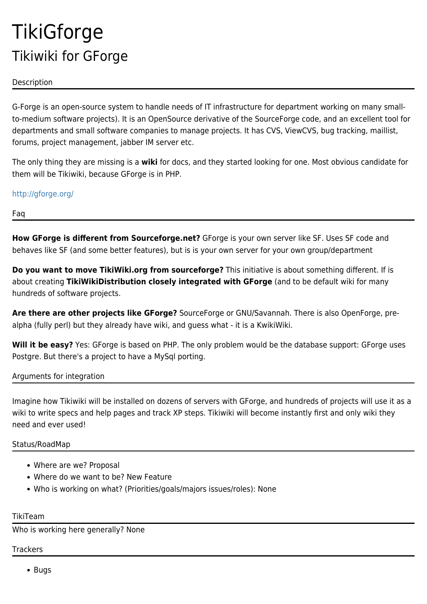# **TikiGforge** Tikiwiki for GForge

## Description

G-Forge is an open-source system to handle needs of IT infrastructure for department working on many smallto-medium software projects). It is an OpenSource derivative of the SourceForge code, and an excellent tool for departments and small software companies to manage projects. It has CVS, ViewCVS, bug tracking, maillist, forums, project management, jabber IM server etc.

The only thing they are missing is a **wiki** for docs, and they started looking for one. Most obvious candidate for them will be Tikiwiki, because GForge is in PHP.

<http://gforge.org/>

Faq

**How GForge is different from Sourceforge.net?** GForge is your own server like SF. Uses SF code and behaves like SF (and some better features), but is is your own server for your own group/department

**Do you want to move TikiWiki.org from sourceforge?** This initiative is about something different. If is about creating **TikiWikiDistribution closely integrated with GForge** (and to be default wiki for many hundreds of software projects.

**Are there are other projects like GForge?** SourceForge or GNU/Savannah. There is also OpenForge, prealpha (fully perl) but they already have wiki, and guess what - it is a KwikiWiki.

**Will it be easy?** Yes: GForge is based on PHP. The only problem would be the database support: GForge uses Postgre. But there's a project to have a MySql porting.

Arguments for integration

Imagine how Tikiwiki will be installed on dozens of servers with GForge, and hundreds of projects will use it as a wiki to write specs and help pages and track XP steps. Tikiwiki will become instantly first and only wiki they need and ever used!

## Status/RoadMap

- Where are we? Proposal
- Where do we want to be? New Feature
- Who is working on what? (Priorities/goals/majors issues/roles): None

TikiTeam

Who is working here generally? None

**Trackers** 

• Bugs